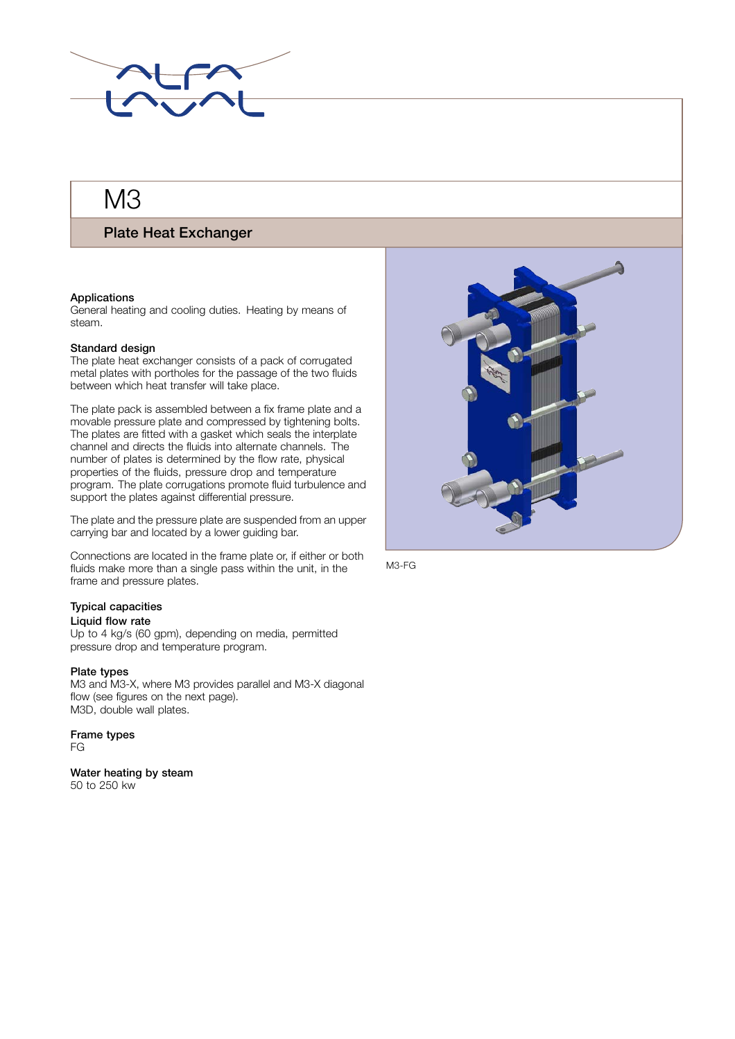

# M<sub>3</sub>

## **Plate Heat Exchanger**

### **Applications**

General heating and cooling duties. Heating by means of steam.

#### **Standard design**

The plate heat exchanger consists of a pack of corrugated metal plates with portholes for the passage of the two fluids between which heat transfer will take place.

The plate pack is assembled between a fix frame plate and a movable pressure plate and compressed by tightening bolts. The plates are fitted with a gasket which seals the interplate channel and directs the fluids into alternate channels. The number of plates is determined by the flow rate, physical properties of the fluids, pressure drop and temperature program. The plate corrugations promote fluid turbulence and support the plates against differential pressure.

The plate and the pressure plate are suspended from an upper carrying bar and located by a lower guiding bar.

Connections are located in the frame plate or, if either or both fluids make more than a single pass within the unit, in the frame and pressure plates.

## **Typical capacities**

## . **Liquid flow rate**

Up to 4 kg/s (60 gpm), depending on media, permitted pressure drop and temperature program.

#### **Plate types**

M3 and M3-X, where M3 provides parallel and M3-X diagonal flow (see figures on the next page). M3D, double wall plates.

## **Frame types**

FG

**Water heating by steam** 50 to 250 kw



M3-FG